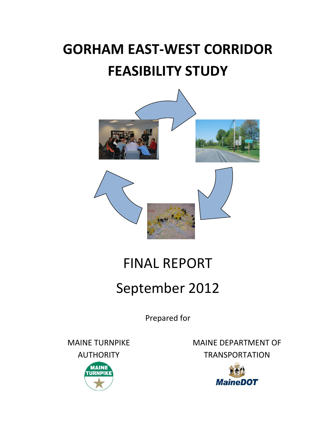## **GORHAM EAST-WEST CORRIDOR FEASIBILITY STUDY**



## FINAL REPORT

## September 2012

Prepared for

MAINE TURNPIKE AUTHORITY



MAINE DEPARTMENT OF **TRANSPORTATION** 

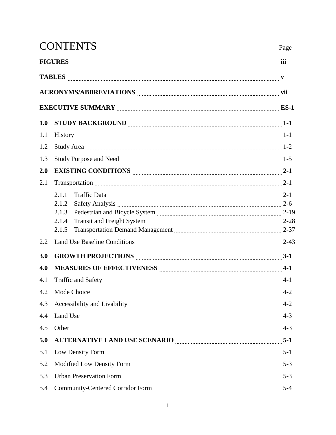|     | <b>CONTENTS</b>                                                                                                                                                                                                                         | Page |
|-----|-----------------------------------------------------------------------------------------------------------------------------------------------------------------------------------------------------------------------------------------|------|
|     | FIGURES <b>EXAMPLEMENTAL SECTION CONTENTS IN EXAMPLE SET OF A SET OF A SET OF SET OF A SET OF SET OF SET OF SET O</b>                                                                                                                   |      |
|     |                                                                                                                                                                                                                                         |      |
|     |                                                                                                                                                                                                                                         |      |
|     |                                                                                                                                                                                                                                         |      |
| 1.0 |                                                                                                                                                                                                                                         |      |
| 1.1 |                                                                                                                                                                                                                                         |      |
| 1.2 |                                                                                                                                                                                                                                         |      |
| 1.3 |                                                                                                                                                                                                                                         |      |
| 2.0 |                                                                                                                                                                                                                                         |      |
| 2.1 | Transportation 2-1                                                                                                                                                                                                                      |      |
|     | 2.1.1<br>Traffic Data 2-1                                                                                                                                                                                                               |      |
|     | 2.1.2<br>Safety Analysis 2-6                                                                                                                                                                                                            |      |
|     | 2.1.3                                                                                                                                                                                                                                   |      |
|     | 2.1.4                                                                                                                                                                                                                                   |      |
|     | Transportation Demand Management [111] [2013] Transportation Demand Management [2014] [2015] Transportation Demand Management [2015] [2015] Transportation Demand Management [2015] [2015] Transportation Demand Management St<br>2.1.5 |      |
| 2.2 |                                                                                                                                                                                                                                         |      |
| 3.0 |                                                                                                                                                                                                                                         |      |
| 4.0 |                                                                                                                                                                                                                                         |      |
| 4.1 |                                                                                                                                                                                                                                         |      |
| 4.2 |                                                                                                                                                                                                                                         |      |
| 4.3 |                                                                                                                                                                                                                                         |      |
| 4.4 |                                                                                                                                                                                                                                         |      |
| 4.5 |                                                                                                                                                                                                                                         |      |
| 5.0 |                                                                                                                                                                                                                                         |      |
| 5.1 |                                                                                                                                                                                                                                         |      |
| 5.2 |                                                                                                                                                                                                                                         |      |
| 5.3 |                                                                                                                                                                                                                                         |      |
| 5.4 |                                                                                                                                                                                                                                         |      |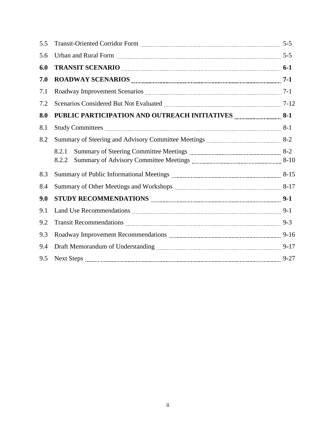| 5.5 |                                                                                                                                                                                                                                            |  |
|-----|--------------------------------------------------------------------------------------------------------------------------------------------------------------------------------------------------------------------------------------------|--|
| 5.6 |                                                                                                                                                                                                                                            |  |
| 6.0 | TRANSIT SCENARIO <b><i>manualizariamente contra contra contra contra contra contra contra contra contra contra contra contra contra contra contra contra contra contra contra contra contra contra contra contra contra contra con</i></b> |  |
| 7.0 |                                                                                                                                                                                                                                            |  |
| 7.1 |                                                                                                                                                                                                                                            |  |
| 7.2 | Scenarios Considered But Not Evaluated Materian Construction and T-12                                                                                                                                                                      |  |
| 8.0 | PUBLIC PARTICIPATION AND OUTREACH INITIATIVES MARKETION 8-1                                                                                                                                                                                |  |
| 8.1 |                                                                                                                                                                                                                                            |  |
| 8.2 |                                                                                                                                                                                                                                            |  |
|     | 8.2.1                                                                                                                                                                                                                                      |  |
|     | 8.2.2                                                                                                                                                                                                                                      |  |
| 8.3 | Summary of Public Informational Meetings <b>Martin Community</b> 8-15                                                                                                                                                                      |  |
| 8.4 |                                                                                                                                                                                                                                            |  |
| 9.0 | STUDY RECOMMENDATIONS <b>EXECUTES</b> 2-1                                                                                                                                                                                                  |  |
| 9.1 |                                                                                                                                                                                                                                            |  |
| 9.2 | Transit Recommendations <i>manual content and the communical</i> p-3                                                                                                                                                                       |  |
| 9.3 |                                                                                                                                                                                                                                            |  |
| 9.4 |                                                                                                                                                                                                                                            |  |
| 9.5 |                                                                                                                                                                                                                                            |  |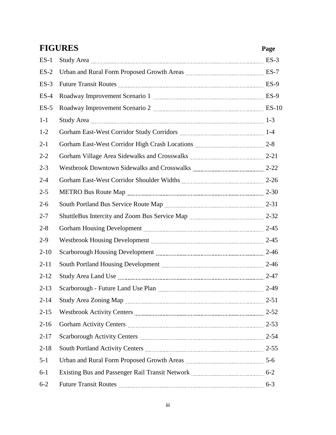|          | <b>FIGURES</b><br>Page                                                                                                                                                                                                         |         |
|----------|--------------------------------------------------------------------------------------------------------------------------------------------------------------------------------------------------------------------------------|---------|
| $ES-1$   |                                                                                                                                                                                                                                |         |
| $ES-2$   | Urban and Rural Form Proposed Growth Areas <b>Martin Arman Areas</b> ES-7                                                                                                                                                      |         |
| $ES-3$   |                                                                                                                                                                                                                                |         |
| $ES-4$   | Roadway Improvement Scenario 1 manuscription and ES-9                                                                                                                                                                          |         |
| $ES-5$   | Roadway Improvement Scenario 2 [11] Martin March 2 [10] March 2 [10] March 2 [10] March 2 [10] March 2 [10] March 2 [10] March 2 [10] March 2 [10] March 2 [10] March 2 [10] March 2 [10] March 2 [10] March 2 [10] March 2 [1 |         |
| $1-1$    |                                                                                                                                                                                                                                |         |
| $1 - 2$  |                                                                                                                                                                                                                                |         |
| $2 - 1$  |                                                                                                                                                                                                                                |         |
| $2 - 2$  |                                                                                                                                                                                                                                |         |
| $2 - 3$  | Westbrook Downtown Sidewalks and Crosswalks <b>Manual</b> 2-22                                                                                                                                                                 |         |
| $2 - 4$  |                                                                                                                                                                                                                                |         |
| $2 - 5$  | METRO Bus Route Map 2-30                                                                                                                                                                                                       |         |
| $2 - 6$  |                                                                                                                                                                                                                                |         |
| $2 - 7$  |                                                                                                                                                                                                                                |         |
| $2 - 8$  | Gorham Housing Development manufactured and the contract of 2-45                                                                                                                                                               |         |
| $2-9$    | Westbrook Housing Development Manual Manual Manual Manual 2-45                                                                                                                                                                 |         |
| $2-10$   |                                                                                                                                                                                                                                |         |
| $2 - 11$ | South Portland Housing Development Manuscritts and Manuscritts 2-46                                                                                                                                                            |         |
| $2 - 12$ |                                                                                                                                                                                                                                |         |
| $2-13$   | Scarborough - Future Land Use Plan                                                                                                                                                                                             | $2-49$  |
| $2 - 14$ |                                                                                                                                                                                                                                |         |
| $2 - 15$ | Westbrook Activity Centers <b>Manual Activity</b> Centers <b>Manual Activity</b> Centers <b>Manual Activity</b> Centers                                                                                                        |         |
| $2-16$   |                                                                                                                                                                                                                                |         |
| $2 - 17$ | Scarborough Activity Centers Manual Manual Manual Manual Manual 2-54                                                                                                                                                           |         |
| $2 - 18$ | South Portland Activity Centers 255                                                                                                                                                                                            |         |
| $5 - 1$  | Urban and Rural Form Proposed Growth Areas <b>Martin Arman Areas</b> 5-6                                                                                                                                                       |         |
| $6-1$    | Existing Bus and Passenger Rail Transit Network <b>Manual</b> Communications 6-2                                                                                                                                               |         |
| $6 - 2$  | <b>Future Transit Routes</b>                                                                                                                                                                                                   | $6 - 3$ |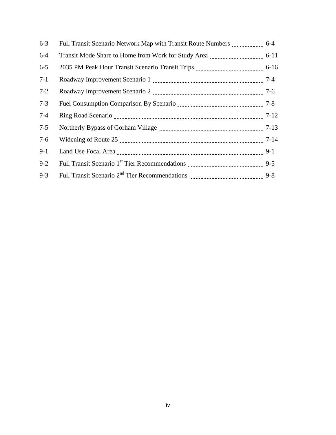| $6 - 3$ |                                                                                                                                                                                                                                |  |
|---------|--------------------------------------------------------------------------------------------------------------------------------------------------------------------------------------------------------------------------------|--|
| $6-4$   | Transit Mode Share to Home from Work for Study Area <b>Marting 1986</b> 6-11                                                                                                                                                   |  |
| $6 - 5$ |                                                                                                                                                                                                                                |  |
| $7-1$   | Roadway Improvement Scenario 1 [11] [2010] [2010] [2010] [2010] [2010] [2010] [2010] [2010] [2010] [2010] [2010] [2010] [2010] [2010] [2010] [2010] [2010] [2010] [2010] [2010] [2010] [2010] [2010] [2010] [2010] [2010] [201 |  |
| $7 - 2$ |                                                                                                                                                                                                                                |  |
| $7 - 3$ |                                                                                                                                                                                                                                |  |
| $7-4$   |                                                                                                                                                                                                                                |  |
| $7 - 5$ | Northerly Bypass of Gorham Village Manual Allen Manual Museum 7-13                                                                                                                                                             |  |
| $7-6$   |                                                                                                                                                                                                                                |  |
| $9-1$   |                                                                                                                                                                                                                                |  |
| $9 - 2$ |                                                                                                                                                                                                                                |  |
| $9 - 3$ |                                                                                                                                                                                                                                |  |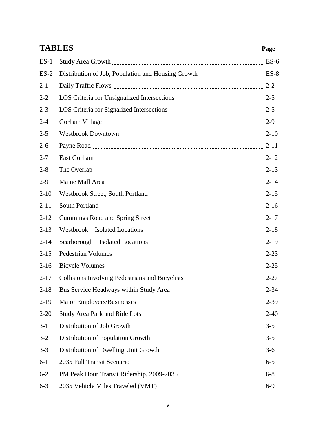|          | <b>TABLES</b>                                                                                                                                                                                                                  | Page  |
|----------|--------------------------------------------------------------------------------------------------------------------------------------------------------------------------------------------------------------------------------|-------|
| $ES-1$   |                                                                                                                                                                                                                                |       |
| $ES-2$   |                                                                                                                                                                                                                                |       |
| $2 - 1$  |                                                                                                                                                                                                                                |       |
| $2 - 2$  | LOS Criteria for Unsignalized Intersections <b>Manual</b> 2-5                                                                                                                                                                  |       |
| $2 - 3$  | LOS Criteria for Signalized Intersections <i>manually contained to Signalized</i> Intersections <i>manual</i> 2-5                                                                                                              |       |
| $2 - 4$  |                                                                                                                                                                                                                                |       |
| $2 - 5$  |                                                                                                                                                                                                                                |       |
| $2 - 6$  |                                                                                                                                                                                                                                |       |
| $2 - 7$  | East Gorham 2-12                                                                                                                                                                                                               |       |
| $2 - 8$  | The Overlap 2-13                                                                                                                                                                                                               |       |
| $2-9$    |                                                                                                                                                                                                                                |       |
| $2 - 10$ |                                                                                                                                                                                                                                |       |
| $2 - 11$ | South Portland 2-16                                                                                                                                                                                                            |       |
| $2 - 12$ |                                                                                                                                                                                                                                |       |
| $2 - 13$ |                                                                                                                                                                                                                                |       |
| $2 - 14$ |                                                                                                                                                                                                                                |       |
| $2 - 15$ |                                                                                                                                                                                                                                |       |
| $2-16$   | Bicycle Volumes 2-25                                                                                                                                                                                                           |       |
| $2 - 17$ |                                                                                                                                                                                                                                |       |
| $2 - 18$ |                                                                                                                                                                                                                                |       |
| $2-19$   |                                                                                                                                                                                                                                |       |
| $2 - 20$ |                                                                                                                                                                                                                                |       |
| $3-1$    |                                                                                                                                                                                                                                |       |
| $3 - 2$  |                                                                                                                                                                                                                                |       |
| $3 - 3$  |                                                                                                                                                                                                                                |       |
| $6-1$    | 2035 Full Transit Scenario <b>Martin March 2016</b> 6-5                                                                                                                                                                        |       |
| $6 - 2$  | PM Peak Hour Transit Ridership, 2009-2035 [11] [120] [120] [120] [130] [130] [130] [130] [130] [130] [130] [130] [130] [130] [130] [130] [130] [130] [130] [130] [130] [130] [130] [130] [130] [130] [130] [130] [130] [130] [ |       |
| $6 - 3$  |                                                                                                                                                                                                                                | $6-9$ |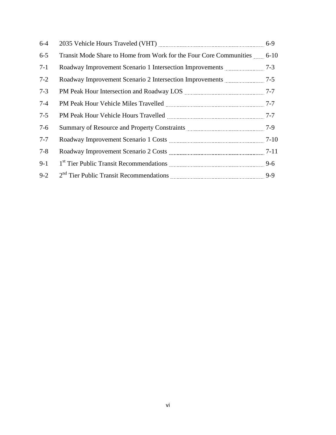| $6-4$   |                                                                         |  |
|---------|-------------------------------------------------------------------------|--|
| $6 - 5$ | Transit Mode Share to Home from Work for the Four Core Communities 6-10 |  |
| $7-1$   |                                                                         |  |
| $7 - 2$ |                                                                         |  |
| $7 - 3$ |                                                                         |  |
| $7 - 4$ |                                                                         |  |
| $7 - 5$ |                                                                         |  |
| $7-6$   |                                                                         |  |
| $7 - 7$ |                                                                         |  |
| $7 - 8$ |                                                                         |  |
| $9-1$   |                                                                         |  |
| $9 - 2$ |                                                                         |  |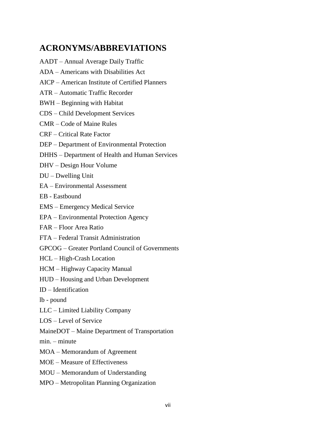## **ACRONYMS/ABBREVIATIONS**

- AADT Annual Average Daily Traffic
- ADA Americans with Disabilities Act
- AICP American Institute of Certified Planners
- ATR Automatic Traffic Recorder
- BWH Beginning with Habitat
- CDS Child Development Services
- CMR Code of Maine Rules
- CRF Critical Rate Factor
- DEP Department of Environmental Protection
- DHHS Department of Health and Human Services
- DHV Design Hour Volume
- DU Dwelling Unit
- EA Environmental Assessment
- EB Eastbound
- EMS Emergency Medical Service
- EPA Environmental Protection Agency
- FAR Floor Area Ratio
- FTA Federal Transit Administration
- GPCOG Greater Portland Council of Governments
- HCL High-Crash Location
- HCM Highway Capacity Manual
- HUD Housing and Urban Development
- ID Identification
- lb pound
- LLC Limited Liability Company
- LOS Level of Service
- MaineDOT Maine Department of Transportation
- min. minute
- MOA Memorandum of Agreement
- MOE Measure of Effectiveness
- MOU Memorandum of Understanding
- MPO Metropolitan Planning Organization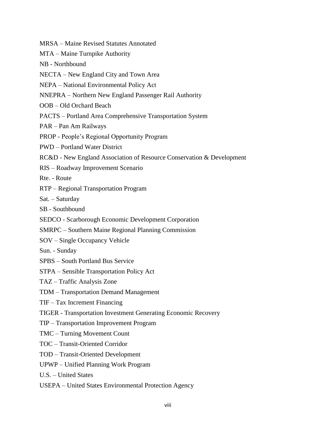- MRSA Maine Revised Statutes Annotated
- MTA Maine Turnpike Authority
- NB Northbound
- NECTA New England City and Town Area
- NEPA National Environmental Policy Act
- NNEPRA Northern New England Passenger Rail Authority
- OOB Old Orchard Beach
- PACTS Portland Area Comprehensive Transportation System
- PAR Pan Am Railways
- PROP People's Regional Opportunity Program
- PWD Portland Water District
- RC&D New England Association of Resource Conservation & Development
- RIS Roadway Improvement Scenario
- Rte. Route
- RTP Regional Transportation Program
- Sat. Saturday
- SB Southbound
- SEDCO Scarborough Economic Development Corporation
- SMRPC Southern Maine Regional Planning Commission
- SOV Single Occupancy Vehicle
- Sun. Sunday
- SPBS South Portland Bus Service
- STPA Sensible Transportation Policy Act
- TAZ Traffic Analysis Zone
- TDM Transportation Demand Management
- TIF Tax Increment Financing
- TIGER Transportation Investment Generating Economic Recovery
- TIP Transportation Improvement Program
- TMC Turning Movement Count
- TOC Transit-Oriented Corridor
- TOD Transit-Oriented Development
- UPWP Unified Planning Work Program
- U.S. United States
- USEPA United States Environmental Protection Agency